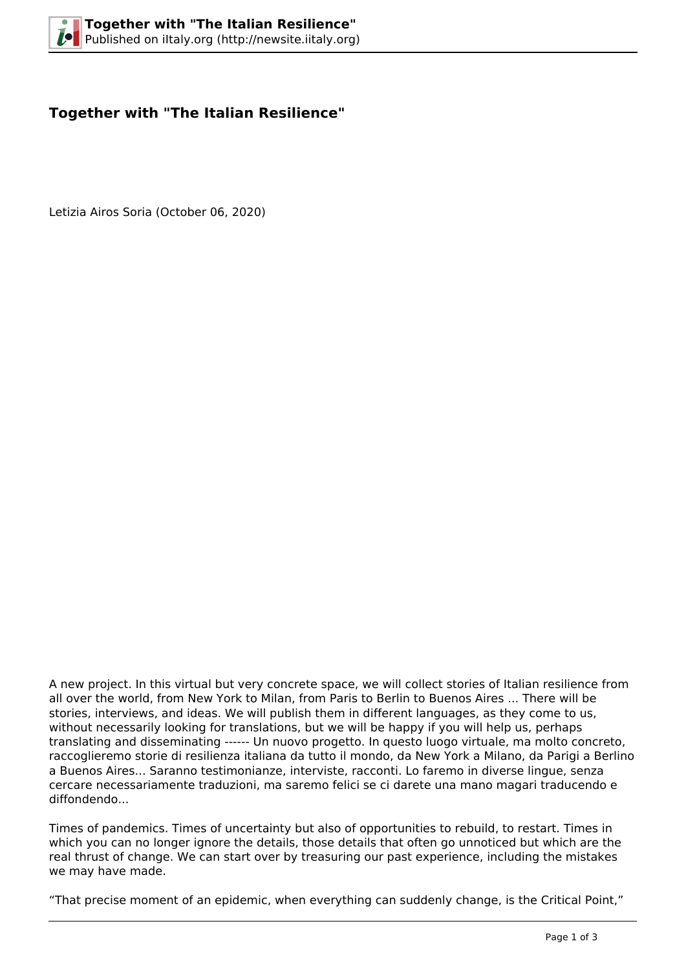## **Together with "The Italian Resilience"**

Letizia Airos Soria (October 06, 2020)



A new project. In this virtual but very concrete space, we will collect stories of Italian resilience from all over the world, from New York to Milan, from Paris to Berlin to Buenos Aires ... There will be stories, interviews, and ideas. We will publish them in different languages, as they come to us, without necessarily looking for translations, but we will be happy if you will help us, perhaps translating and disseminating ------ Un nuovo progetto. In questo luogo virtuale, ma molto concreto, raccoglieremo storie di resilienza italiana da tutto il mondo, da New York a Milano, da Parigi a Berlino a Buenos Aires... Saranno testimonianze, interviste, racconti. Lo faremo in diverse lingue, senza cercare necessariamente traduzioni, ma saremo felici se ci darete una mano magari traducendo e diffondendo...

Times of pandemics. Times of uncertainty but also of opportunities to rebuild, to restart. Times in which you can no longer ignore the details, those details that often go unnoticed but which are the real thrust of change. We can start over by treasuring our past experience, including the mistakes we may have made.

"That precise moment of an epidemic, when everything can suddenly change, is the Critical Point,"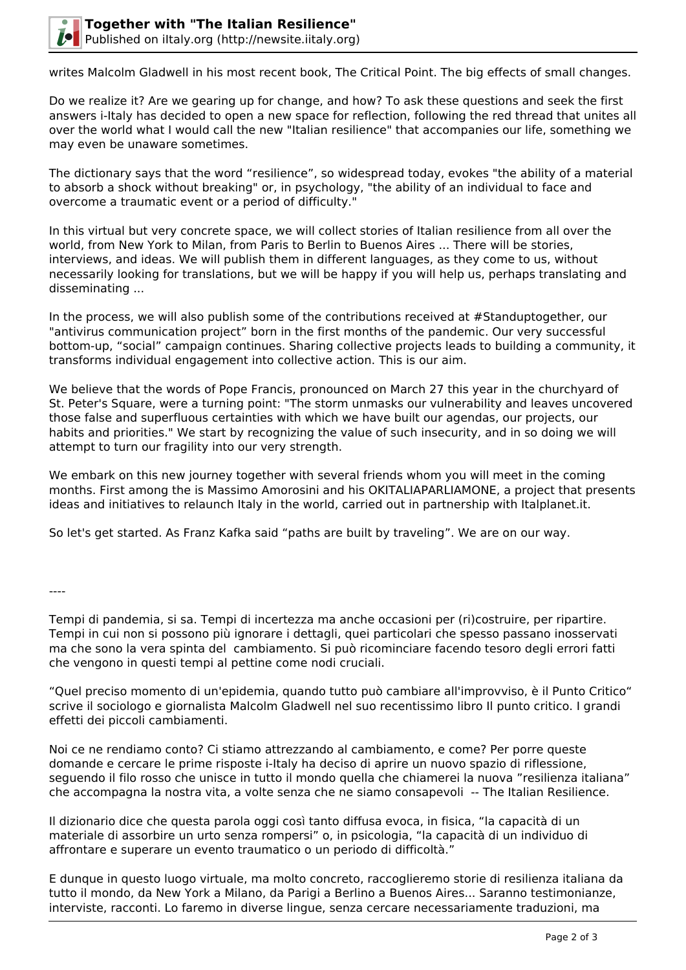

writes Malcolm Gladwell in his most recent book, The Critical Point. The big effects of small changes.

Do we realize it? Are we gearing up for change, and how? To ask these questions and seek the first answers i-Italy has decided to open a new space for reflection, following the red thread that unites all over the world what I would call the new "Italian resilience" that accompanies our life, something we may even be unaware sometimes.

The dictionary says that the word "resilience", so widespread today, evokes "the ability of a material to absorb a shock without breaking" or, in psychology, "the ability of an individual to face and overcome a traumatic event or a period of difficulty."

In this virtual but very concrete space, we will collect stories of Italian resilience from all over the world, from New York to Milan, from Paris to Berlin to Buenos Aires ... There will be stories, interviews, and ideas. We will publish them in different languages, as they come to us, without necessarily looking for translations, but we will be happy if you will help us, perhaps translating and disseminating ...

In the process, we will also publish some of the contributions received at #Standuptogether, our "antivirus communication project" born in the first months of the pandemic. Our very successful bottom-up, "social" campaign continues. Sharing collective projects leads to building a community, it transforms individual engagement into collective action. This is our aim.

We believe that the words of Pope Francis, pronounced on March 27 this year in the churchyard of St. Peter's Square, were a turning point: "The storm unmasks our vulnerability and leaves uncovered those false and superfluous certainties with which we have built our agendas, our projects, our habits and priorities." We start by recognizing the value of such insecurity, and in so doing we will attempt to turn our fragility into our very strength.

We embark on this new journey together with several friends whom you will meet in the coming months. First among the is Massimo Amorosini and his OKITALIAPARLIAMONE, a project that presents ideas and initiatives to relaunch Italy in the world, carried out in partnership with Italplanet.it.

So let's get started. As Franz Kafka said "paths are built by traveling". We are on our way.

----

Tempi di pandemia, si sa. Tempi di incertezza ma anche occasioni per (ri)costruire, per ripartire. Tempi in cui non si possono più ignorare i dettagli, quei particolari che spesso passano inosservati ma che sono la vera spinta del cambiamento. Si può ricominciare facendo tesoro degli errori fatti che vengono in questi tempi al pettine come nodi cruciali.

"Quel preciso momento di un'epidemia, quando tutto può cambiare all'improvviso, è il Punto Critico" scrive il sociologo e giornalista Malcolm Gladwell nel suo recentissimo libro Il punto critico. I grandi effetti dei piccoli cambiamenti.

Noi ce ne rendiamo conto? Ci stiamo attrezzando al cambiamento, e come? Per porre queste domande e cercare le prime risposte i-Italy ha deciso di aprire un nuovo spazio di riflessione, seguendo il filo rosso che unisce in tutto il mondo quella che chiamerei la nuova "resilienza italiana" che accompagna la nostra vita, a volte senza che ne siamo consapevoli -- The Italian Resilience.

Il dizionario dice che questa parola oggi così tanto diffusa evoca, in fisica, "la capacità di un materiale di assorbire un urto senza rompersi" o, in psicologia, "la capacità di un individuo di affrontare e superare un evento traumatico o un periodo di difficoltà."

E dunque in questo luogo virtuale, ma molto concreto, raccoglieremo storie di resilienza italiana da tutto il mondo, da New York a Milano, da Parigi a Berlino a Buenos Aires... Saranno testimonianze, interviste, racconti. Lo faremo in diverse lingue, senza cercare necessariamente traduzioni, ma